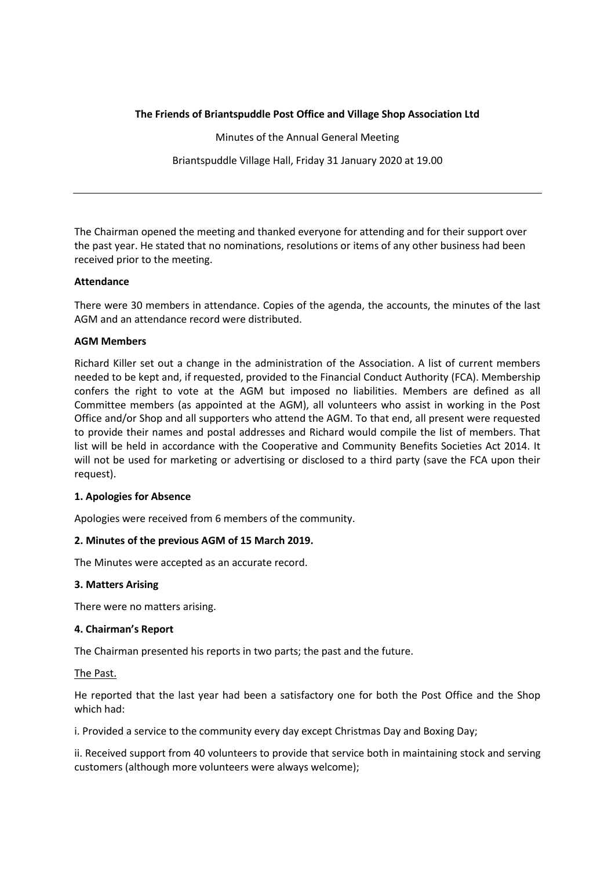## **The Friends of Briantspuddle Post Office and Village Shop Association Ltd**

Minutes of the Annual General Meeting Briantspuddle Village Hall, Friday 31 January 2020 at 19.00

The Chairman opened the meeting and thanked everyone for attending and for their support over the past year. He stated that no nominations, resolutions or items of any other business had been received prior to the meeting.

## **Attendance**

There were 30 members in attendance. Copies of the agenda, the accounts, the minutes of the last AGM and an attendance record were distributed.

## **AGM Members**

Richard Killer set out a change in the administration of the Association. A list of current members needed to be kept and, if requested, provided to the Financial Conduct Authority (FCA). Membership confers the right to vote at the AGM but imposed no liabilities. Members are defined as all Committee members (as appointed at the AGM), all volunteers who assist in working in the Post Office and/or Shop and all supporters who attend the AGM. To that end, all present were requested to provide their names and postal addresses and Richard would compile the list of members. That list will be held in accordance with the Cooperative and Community Benefits Societies Act 2014. It will not be used for marketing or advertising or disclosed to a third party (save the FCA upon their request).

## **1. Apologies for Absence**

Apologies were received from 6 members of the community.

# **2. Minutes of the previous AGM of 15 March 2019.**

The Minutes were accepted as an accurate record.

## **3. Matters Arising**

There were no matters arising.

## **4. Chairman's Report**

The Chairman presented his reports in two parts; the past and the future.

The Past.

He reported that the last year had been a satisfactory one for both the Post Office and the Shop which had:

i. Provided a service to the community every day except Christmas Day and Boxing Day;

ii. Received support from 40 volunteers to provide that service both in maintaining stock and serving customers (although more volunteers were always welcome);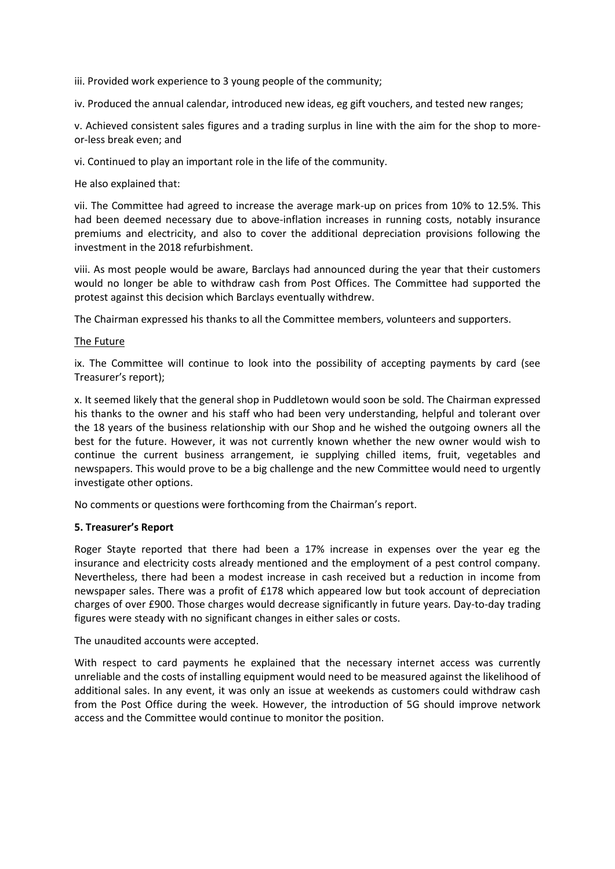iii. Provided work experience to 3 young people of the community;

iv. Produced the annual calendar, introduced new ideas, eg gift vouchers, and tested new ranges;

v. Achieved consistent sales figures and a trading surplus in line with the aim for the shop to moreor-less break even; and

vi. Continued to play an important role in the life of the community.

He also explained that:

vii. The Committee had agreed to increase the average mark-up on prices from 10% to 12.5%. This had been deemed necessary due to above-inflation increases in running costs, notably insurance premiums and electricity, and also to cover the additional depreciation provisions following the investment in the 2018 refurbishment.

viii. As most people would be aware, Barclays had announced during the year that their customers would no longer be able to withdraw cash from Post Offices. The Committee had supported the protest against this decision which Barclays eventually withdrew.

The Chairman expressed his thanks to all the Committee members, volunteers and supporters.

### The Future

ix. The Committee will continue to look into the possibility of accepting payments by card (see Treasurer's report);

x. It seemed likely that the general shop in Puddletown would soon be sold. The Chairman expressed his thanks to the owner and his staff who had been very understanding, helpful and tolerant over the 18 years of the business relationship with our Shop and he wished the outgoing owners all the best for the future. However, it was not currently known whether the new owner would wish to continue the current business arrangement, ie supplying chilled items, fruit, vegetables and newspapers. This would prove to be a big challenge and the new Committee would need to urgently investigate other options.

No comments or questions were forthcoming from the Chairman's report.

#### **5. Treasurer's Report**

Roger Stayte reported that there had been a 17% increase in expenses over the year eg the insurance and electricity costs already mentioned and the employment of a pest control company. Nevertheless, there had been a modest increase in cash received but a reduction in income from newspaper sales. There was a profit of £178 which appeared low but took account of depreciation charges of over £900. Those charges would decrease significantly in future years. Day-to-day trading figures were steady with no significant changes in either sales or costs.

The unaudited accounts were accepted.

With respect to card payments he explained that the necessary internet access was currently unreliable and the costs of installing equipment would need to be measured against the likelihood of additional sales. In any event, it was only an issue at weekends as customers could withdraw cash from the Post Office during the week. However, the introduction of 5G should improve network access and the Committee would continue to monitor the position.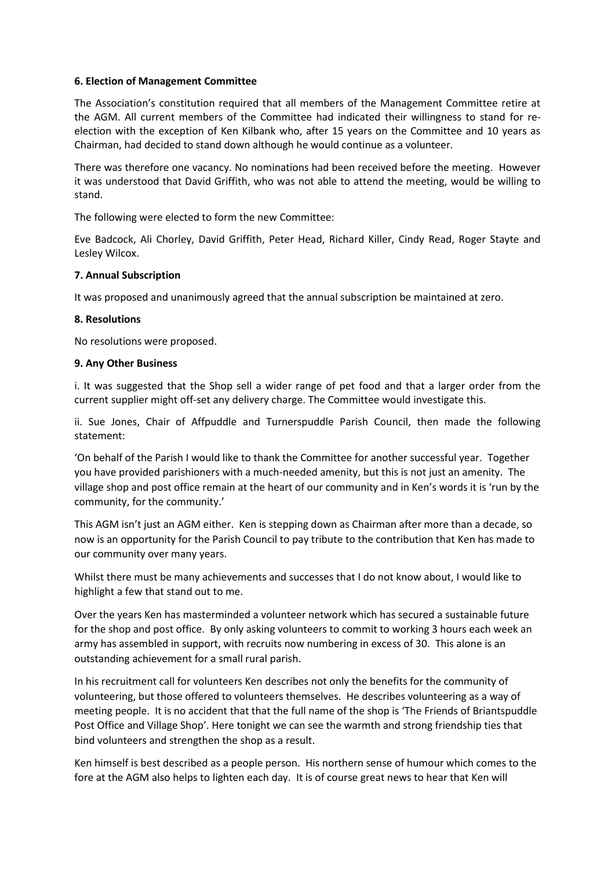### **6. Election of Management Committee**

The Association's constitution required that all members of the Management Committee retire at the AGM. All current members of the Committee had indicated their willingness to stand for reelection with the exception of Ken Kilbank who, after 15 years on the Committee and 10 years as Chairman, had decided to stand down although he would continue as a volunteer.

There was therefore one vacancy. No nominations had been received before the meeting. However it was understood that David Griffith, who was not able to attend the meeting, would be willing to stand.

The following were elected to form the new Committee:

Eve Badcock, Ali Chorley, David Griffith, Peter Head, Richard Killer, Cindy Read, Roger Stayte and Lesley Wilcox.

### **7. Annual Subscription**

It was proposed and unanimously agreed that the annual subscription be maintained at zero.

### **8. Resolutions**

No resolutions were proposed.

### **9. Any Other Business**

i. It was suggested that the Shop sell a wider range of pet food and that a larger order from the current supplier might off-set any delivery charge. The Committee would investigate this.

ii. Sue Jones, Chair of Affpuddle and Turnerspuddle Parish Council, then made the following statement:

'On behalf of the Parish I would like to thank the Committee for another successful year. Together you have provided parishioners with a much-needed amenity, but this is not just an amenity. The village shop and post office remain at the heart of our community and in Ken's words it is 'run by the community, for the community.'

This AGM isn't just an AGM either. Ken is stepping down as Chairman after more than a decade, so now is an opportunity for the Parish Council to pay tribute to the contribution that Ken has made to our community over many years.

Whilst there must be many achievements and successes that I do not know about, I would like to highlight a few that stand out to me.

Over the years Ken has masterminded a volunteer network which has secured a sustainable future for the shop and post office. By only asking volunteers to commit to working 3 hours each week an army has assembled in support, with recruits now numbering in excess of 30. This alone is an outstanding achievement for a small rural parish.

In his recruitment call for volunteers Ken describes not only the benefits for the community of volunteering, but those offered to volunteers themselves. He describes volunteering as a way of meeting people. It is no accident that that the full name of the shop is 'The Friends of Briantspuddle Post Office and Village Shop'. Here tonight we can see the warmth and strong friendship ties that bind volunteers and strengthen the shop as a result.

Ken himself is best described as a people person. His northern sense of humour which comes to the fore at the AGM also helps to lighten each day. It is of course great news to hear that Ken will